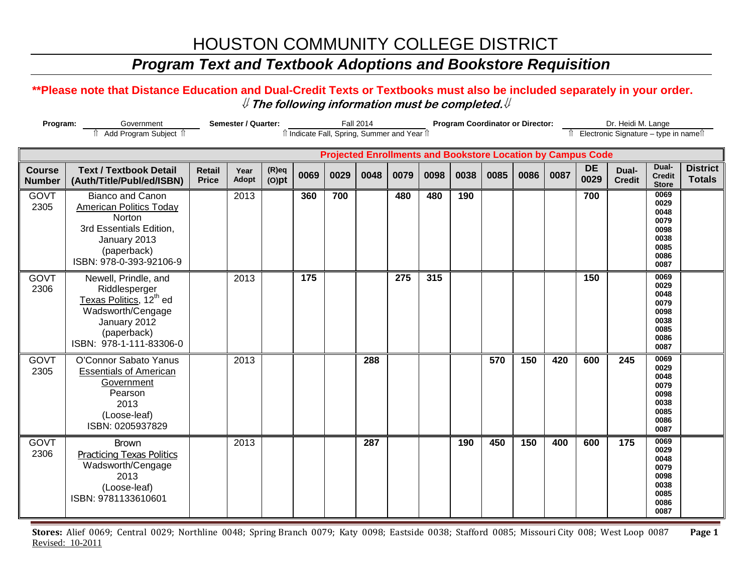# HOUSTON COMMUNITY COLLEGE DISTRICT

## *Program Text and Textbook Adoptions and Bookstore Requisition*

#### **\*\*Please note that Distance Education and Dual-Credit Texts or Textbooks must also be included separately in your order.**  ⇓ **The following information must be completed.**⇓

| Program:                                                                                                          |                                                                                                                                                             | Semester / Quarter:           |               | <b>Fall 2014</b>     |      |      |      | <b>Program Coordinator or Director:</b> |      |      |      |      | Dr. Heidi M. Lange |                   |                        |                                                                      |                                  |
|-------------------------------------------------------------------------------------------------------------------|-------------------------------------------------------------------------------------------------------------------------------------------------------------|-------------------------------|---------------|----------------------|------|------|------|-----------------------------------------|------|------|------|------|--------------------|-------------------|------------------------|----------------------------------------------------------------------|----------------------------------|
| Add Program Subject 1<br>îl Indicate Fall, Spring, Summer and Year îl<br>Îl Electronic Signature – type in nameîl |                                                                                                                                                             |                               |               |                      |      |      |      |                                         |      |      |      |      |                    |                   |                        |                                                                      |                                  |
|                                                                                                                   | <b>Projected Enrollments and Bookstore Location by Campus Code</b>                                                                                          |                               |               |                      |      |      |      |                                         |      |      |      |      |                    |                   |                        |                                                                      |                                  |
| <b>Course</b><br><b>Number</b>                                                                                    | <b>Text / Textbook Detail</b><br>(Auth/Title/Publ/ed/ISBN)                                                                                                  | <b>Retail</b><br><b>Price</b> | Year<br>Adopt | $(R)$ eq<br>$(O)$ pt | 0069 | 0029 | 0048 | 0079                                    | 0098 | 0038 | 0085 | 0086 | 0087               | <b>DE</b><br>0029 | Dual-<br><b>Credit</b> | Dual-<br><b>Credit</b><br><b>Store</b>                               | <b>District</b><br><b>Totals</b> |
| GOVT<br>2305                                                                                                      | <b>Bianco and Canon</b><br><b>American Politics Today</b><br>Norton<br>3rd Essentials Edition,<br>January 2013<br>(paperback)<br>ISBN: 978-0-393-92106-9    |                               | 2013          |                      | 360  | 700  |      | 480                                     | 480  | 190  |      |      |                    | 700               |                        | 0069<br>0029<br>0048<br>0079<br>0098<br>0038<br>0085<br>0086<br>0087 |                                  |
| <b>GOVT</b><br>2306                                                                                               | Newell, Prindle, and<br>Riddlesperger<br>Texas Politics, 12 <sup>th</sup> ed<br>Wadsworth/Cengage<br>January 2012<br>(paperback)<br>ISBN: 978-1-111-83306-0 |                               | 2013          |                      | 175  |      |      | 275                                     | 315  |      |      |      |                    | 150               |                        | 0069<br>0029<br>0048<br>0079<br>0098<br>0038<br>0085<br>0086<br>0087 |                                  |
| <b>GOVT</b><br>2305                                                                                               | O'Connor Sabato Yanus<br><b>Essentials of American</b><br>Government<br>Pearson<br>2013<br>(Loose-leaf)<br>ISBN: 0205937829                                 |                               | 2013          |                      |      |      | 288  |                                         |      |      | 570  | 150  | 420                | 600               | 245                    | 0069<br>0029<br>0048<br>0079<br>0098<br>0038<br>0085<br>0086<br>0087 |                                  |
| <b>GOVT</b><br>2306                                                                                               | <b>Brown</b><br><b>Practicing Texas Politics</b><br>Wadsworth/Cengage<br>2013<br>(Loose-leaf)<br>ISBN: 9781133610601                                        |                               | 2013          |                      |      |      | 287  |                                         |      | 190  | 450  | 150  | 400                | 600               | 175                    | 0069<br>0029<br>0048<br>0079<br>0098<br>0038<br>0085<br>0086<br>0087 |                                  |

**Stores:** Alief 0069; Central 0029; Northline 0048; Spring Branch 0079; Katy 0098; Eastside 0038; Stafford 0085; Missouri City 008; West Loop 0087 **Page 1** Revised: 10-2011